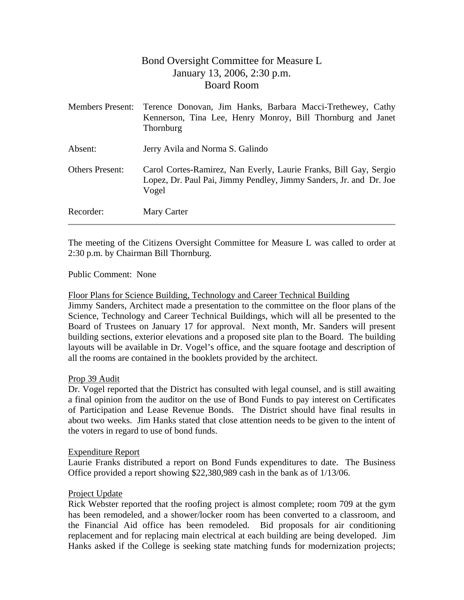# Bond Oversight Committee for Measure L January 13, 2006, 2:30 p.m. Board Room

| <b>Members Present:</b> | Terence Donovan, Jim Hanks, Barbara Macci-Trethewey, Cathy<br>Kennerson, Tina Lee, Henry Monroy, Bill Thornburg and Janet<br>Thornburg           |
|-------------------------|--------------------------------------------------------------------------------------------------------------------------------------------------|
| Absent:                 | Jerry Avila and Norma S. Galindo                                                                                                                 |
| <b>Others Present:</b>  | Carol Cortes-Ramirez, Nan Everly, Laurie Franks, Bill Gay, Sergio<br>Lopez, Dr. Paul Pai, Jimmy Pendley, Jimmy Sanders, Jr. and Dr. Joe<br>Vogel |
| Recorder:               | Mary Carter                                                                                                                                      |

The meeting of the Citizens Oversight Committee for Measure L was called to order at 2:30 p.m. by Chairman Bill Thornburg.

## Public Comment: None

## Floor Plans for Science Building, Technology and Career Technical Building

Jimmy Sanders, Architect made a presentation to the committee on the floor plans of the Science, Technology and Career Technical Buildings, which will all be presented to the Board of Trustees on January 17 for approval. Next month, Mr. Sanders will present building sections, exterior elevations and a proposed site plan to the Board. The building layouts will be available in Dr. Vogel's office, and the square footage and description of all the rooms are contained in the booklets provided by the architect.

## Prop 39 Audit

Dr. Vogel reported that the District has consulted with legal counsel, and is still awaiting a final opinion from the auditor on the use of Bond Funds to pay interest on Certificates of Participation and Lease Revenue Bonds. The District should have final results in about two weeks. Jim Hanks stated that close attention needs to be given to the intent of the voters in regard to use of bond funds.

#### Expenditure Report

Laurie Franks distributed a report on Bond Funds expenditures to date. The Business Office provided a report showing \$22,380,989 cash in the bank as of 1/13/06.

## Project Update

Rick Webster reported that the roofing project is almost complete; room 709 at the gym has been remodeled, and a shower/locker room has been converted to a classroom, and the Financial Aid office has been remodeled. Bid proposals for air conditioning replacement and for replacing main electrical at each building are being developed. Jim Hanks asked if the College is seeking state matching funds for modernization projects;